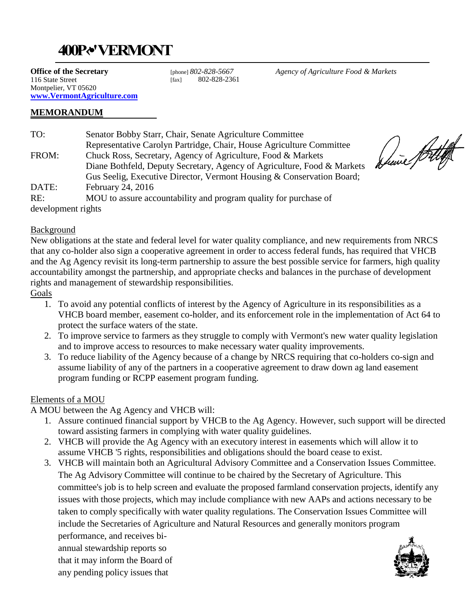## **400P‹, •' VERMONT**

**Office of the Secretary** 116 State Street Montpelier, VT 05620 **[www.VermontAgriculture.com](http://www.vermontagriculture.com/)**

[fax] 802-828-2361]

[phone] *802-828-5667 Agency of Agriculture Food & Markets*

## **MEMORANDUM**

| TO:                | Senator Bobby Starr, Chair, Senate Agriculture Committee                |
|--------------------|-------------------------------------------------------------------------|
|                    | Representative Carolyn Partridge, Chair, House Agriculture Committee    |
| FROM:              | Chuck Ross, Secretary, Agency of Agriculture, Food & Markets            |
|                    | Diane Bothfeld, Deputy Secretary, Agency of Agriculture, Food & Markets |
|                    | Gus Seelig, Executive Director, Vermont Housing & Conservation Board;   |
| DATE:              | February 24, 2016                                                       |
| RE:                | MOU to assure accountability and program quality for purchase of        |
| development rights |                                                                         |

## Background

New obligations at the state and federal level for water quality compliance, and new requirements from NRCS that any co-holder also sign a cooperative agreement in order to access federal funds, has required that VHCB and the Ag Agency revisit its long-term partnership to assure the best possible service for farmers, high quality accountability amongst the partnership, and appropriate checks and balances in the purchase of development rights and management of stewardship responsibilities.

Goals

- 1. To avoid any potential conflicts of interest by the Agency of Agriculture in its responsibilities as a VHCB board member, easement co-holder, and its enforcement role in the implementation of Act 64 to protect the surface waters of the state.
- 2. To improve service to farmers as they struggle to comply with Vermont's new water quality legislation and to improve access to resources to make necessary water quality improvements.
- 3. To reduce liability of the Agency because of a change by NRCS requiring that co-holders co-sign and assume liability of any of the partners in a cooperative agreement to draw down ag land easement program funding or RCPP easement program funding.

## Elements of a MOU

A MOU between the Ag Agency and VHCB will:

- 1. Assure continued financial support by VHCB to the Ag Agency. However, such support will be directed toward assisting farmers in complying with water quality guidelines.
- 2. VHCB will provide the Ag Agency with an executory interest in easements which will allow it to assume VHCB '5 rights, responsibilities and obligations should the board cease to exist.
- 3. VHCB will maintain both an Agricultural Advisory Committee and a Conservation Issues Committee. The Ag Advisory Committee will continue to be chaired by the Secretary of Agriculture. This committee's job is to help screen and evaluate the proposed farmland conservation projects, identify any issues with those projects, which may include compliance with new AAPs and actions necessary to be taken to comply specifically with water quality regulations. The Conservation Issues Committee will include the Secretaries of Agriculture and Natural Resources and generally monitors program

performance, and receives biannual stewardship reports so that it may inform the Board of any pending policy issues that

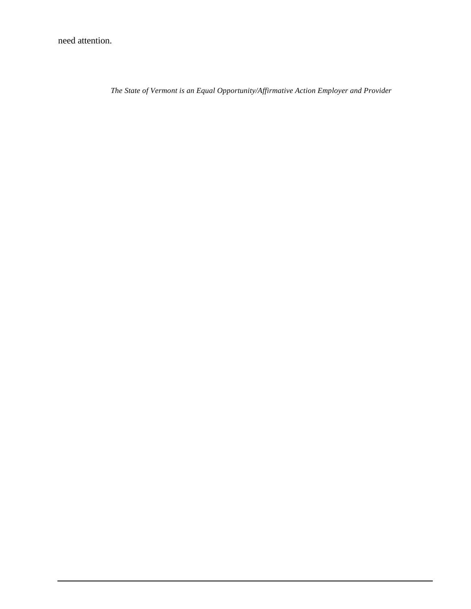need attention.

*The State of Vermont is an Equal Opportunity/Affirmative Action Employer and Provider*